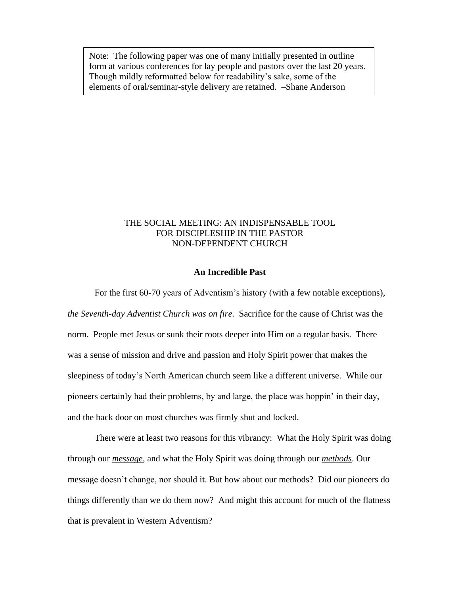Note: The following paper was one of many initially presented in outline form at various conferences for lay people and pastors over the last 20 years. Though mildly reformatted below for readability's sake, some of the elements of oral/seminar-style delivery are retained. –Shane Anderson

# THE SOCIAL MEETING: AN INDISPENSABLE TOOL FOR DISCIPLESHIP IN THE PASTOR NON-DEPENDENT CHURCH

### **An Incredible Past**

For the first 60-70 years of Adventism's history (with a few notable exceptions), *the Seventh-day Adventist Church was on fire*. Sacrifice for the cause of Christ was the norm. People met Jesus or sunk their roots deeper into Him on a regular basis. There was a sense of mission and drive and passion and Holy Spirit power that makes the sleepiness of today's North American church seem like a different universe. While our pioneers certainly had their problems, by and large, the place was hoppin' in their day, and the back door on most churches was firmly shut and locked.

There were at least two reasons for this vibrancy: What the Holy Spirit was doing through our *message*, and what the Holy Spirit was doing through our *methods*. Our message doesn't change, nor should it. But how about our methods? Did our pioneers do things differently than we do them now? And might this account for much of the flatness that is prevalent in Western Adventism?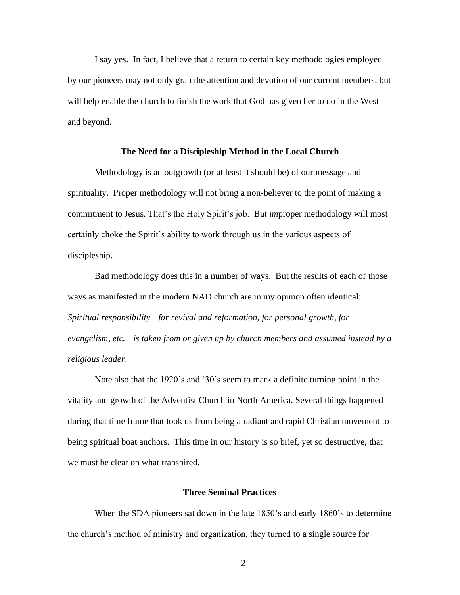I say yes. In fact, I believe that a return to certain key methodologies employed by our pioneers may not only grab the attention and devotion of our current members, but will help enable the church to finish the work that God has given her to do in the West and beyond.

#### **The Need for a Discipleship Method in the Local Church**

Methodology is an outgrowth (or at least it should be) of our message and spirituality. Proper methodology will not bring a non-believer to the point of making a commitment to Jesus. That's the Holy Spirit's job. But *im*proper methodology will most certainly choke the Spirit's ability to work through us in the various aspects of discipleship.

Bad methodology does this in a number of ways. But the results of each of those ways as manifested in the modern NAD church are in my opinion often identical: *Spiritual responsibility—for revival and reformation, for personal growth, for evangelism, etc.—is taken from or given up by church members and assumed instead by a religious leader*.

Note also that the 1920's and '30's seem to mark a definite turning point in the vitality and growth of the Adventist Church in North America. Several things happened during that time frame that took us from being a radiant and rapid Christian movement to being spiritual boat anchors. This time in our history is so brief, yet so destructive, that we must be clear on what transpired.

## **Three Seminal Practices**

When the SDA pioneers sat down in the late 1850's and early 1860's to determine the church's method of ministry and organization, they turned to a single source for

2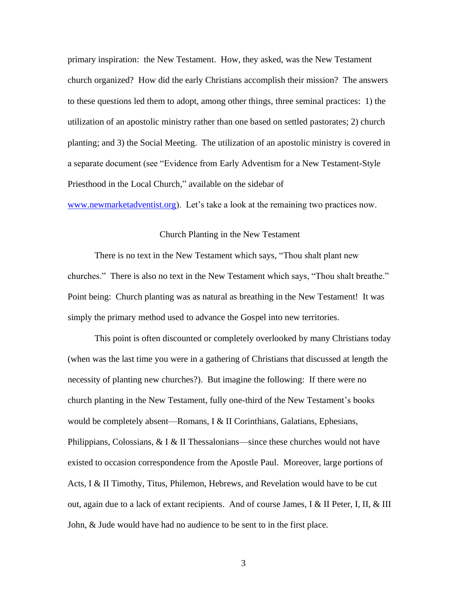primary inspiration: the New Testament. How, they asked, was the New Testament church organized? How did the early Christians accomplish their mission? The answers to these questions led them to adopt, among other things, three seminal practices: 1) the utilization of an apostolic ministry rather than one based on settled pastorates; 2) church planting; and 3) the Social Meeting. The utilization of an apostolic ministry is covered in a separate document (see "Evidence from Early Adventism for a New Testament-Style Priesthood in the Local Church," available on the sidebar of

[www.newmarketadventist.org\)](http://www.newmarketadventist.org/). Let's take a look at the remaining two practices now.

#### Church Planting in the New Testament

There is no text in the New Testament which says, "Thou shalt plant new churches." There is also no text in the New Testament which says, "Thou shalt breathe." Point being: Church planting was as natural as breathing in the New Testament! It was simply the primary method used to advance the Gospel into new territories.

This point is often discounted or completely overlooked by many Christians today (when was the last time you were in a gathering of Christians that discussed at length the necessity of planting new churches?). But imagine the following: If there were no church planting in the New Testament, fully one-third of the New Testament's books would be completely absent—Romans, I & II Corinthians, Galatians, Ephesians, Philippians, Colossians, & I & II Thessalonians—since these churches would not have existed to occasion correspondence from the Apostle Paul. Moreover, large portions of Acts, I & II Timothy, Titus, Philemon, Hebrews, and Revelation would have to be cut out, again due to a lack of extant recipients. And of course James, I & II Peter, I, II, & III John, & Jude would have had no audience to be sent to in the first place.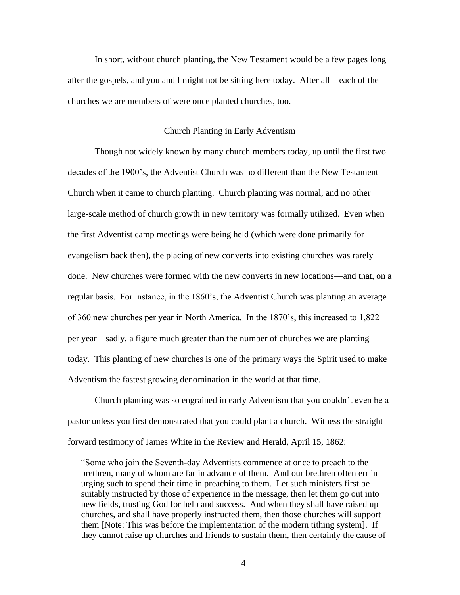In short, without church planting, the New Testament would be a few pages long after the gospels, and you and I might not be sitting here today. After all—each of the churches we are members of were once planted churches, too.

#### Church Planting in Early Adventism

Though not widely known by many church members today, up until the first two decades of the 1900's, the Adventist Church was no different than the New Testament Church when it came to church planting. Church planting was normal, and no other large-scale method of church growth in new territory was formally utilized. Even when the first Adventist camp meetings were being held (which were done primarily for evangelism back then), the placing of new converts into existing churches was rarely done. New churches were formed with the new converts in new locations—and that, on a regular basis. For instance, in the 1860's, the Adventist Church was planting an average of 360 new churches per year in North America. In the 1870's, this increased to 1,822 per year—sadly, a figure much greater than the number of churches we are planting today. This planting of new churches is one of the primary ways the Spirit used to make Adventism the fastest growing denomination in the world at that time.

Church planting was so engrained in early Adventism that you couldn't even be a pastor unless you first demonstrated that you could plant a church. Witness the straight forward testimony of James White in the Review and Herald, April 15, 1862:

"Some who join the Seventh-day Adventists commence at once to preach to the brethren, many of whom are far in advance of them. And our brethren often err in urging such to spend their time in preaching to them. Let such ministers first be suitably instructed by those of experience in the message, then let them go out into new fields, trusting God for help and success. And when they shall have raised up churches, and shall have properly instructed them, then those churches will support them [Note: This was before the implementation of the modern tithing system]. If they cannot raise up churches and friends to sustain them, then certainly the cause of

4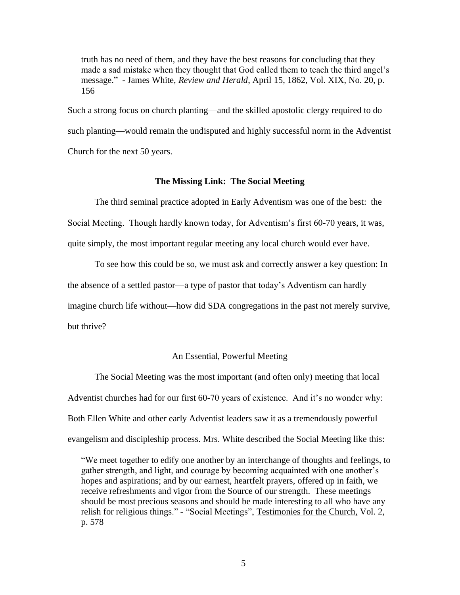truth has no need of them, and they have the best reasons for concluding that they made a sad mistake when they thought that God called them to teach the third angel's message." - James White, *Review and Herald*, April 15, 1862, Vol. XIX, No. 20, p. 156

Such a strong focus on church planting—and the skilled apostolic clergy required to do such planting—would remain the undisputed and highly successful norm in the Adventist Church for the next 50 years.

### **The Missing Link: The Social Meeting**

The third seminal practice adopted in Early Adventism was one of the best: the Social Meeting. Though hardly known today, for Adventism's first 60-70 years, it was, quite simply, the most important regular meeting any local church would ever have.

To see how this could be so, we must ask and correctly answer a key question: In the absence of a settled pastor—a type of pastor that today's Adventism can hardly imagine church life without—how did SDA congregations in the past not merely survive, but thrive?

#### An Essential, Powerful Meeting

The Social Meeting was the most important (and often only) meeting that local Adventist churches had for our first 60-70 years of existence. And it's no wonder why: Both Ellen White and other early Adventist leaders saw it as a tremendously powerful evangelism and discipleship process. Mrs. White described the Social Meeting like this:

"We meet together to edify one another by an interchange of thoughts and feelings, to gather strength, and light, and courage by becoming acquainted with one another's hopes and aspirations; and by our earnest, heartfelt prayers, offered up in faith, we receive refreshments and vigor from the Source of our strength. These meetings should be most precious seasons and should be made interesting to all who have any relish for religious things." - "Social Meetings", Testimonies for the Church, Vol. 2, p. 578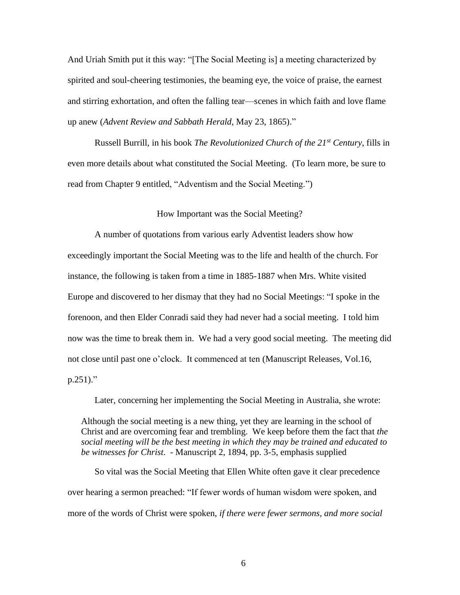And Uriah Smith put it this way: "[The Social Meeting is] a meeting characterized by spirited and soul-cheering testimonies, the beaming eye, the voice of praise, the earnest and stirring exhortation, and often the falling tear—scenes in which faith and love flame up anew (*Advent Review and Sabbath Herald*, May 23, 1865)."

Russell Burrill, in his book *The Revolutionized Church of the 21st Century*, fills in even more details about what constituted the Social Meeting. (To learn more, be sure to read from Chapter 9 entitled, "Adventism and the Social Meeting.")

#### How Important was the Social Meeting?

A number of quotations from various early Adventist leaders show how exceedingly important the Social Meeting was to the life and health of the church. For instance, the following is taken from a time in 1885-1887 when Mrs. White visited Europe and discovered to her dismay that they had no Social Meetings: "I spoke in the forenoon, and then Elder Conradi said they had never had a social meeting. I told him now was the time to break them in. We had a very good social meeting. The meeting did not close until past one o'clock. It commenced at ten (Manuscript Releases, Vol.16, p.251)."

Later, concerning her implementing the Social Meeting in Australia, she wrote:

Although the social meeting is a new thing, yet they are learning in the school of Christ and are overcoming fear and trembling. We keep before them the fact that *the social meeting will be the best meeting in which they may be trained and educated to be witnesses for Christ*. - Manuscript 2, 1894, pp. 3-5, emphasis supplied

So vital was the Social Meeting that Ellen White often gave it clear precedence over hearing a sermon preached: "If fewer words of human wisdom were spoken, and more of the words of Christ were spoken, *if there were fewer sermons, and more social*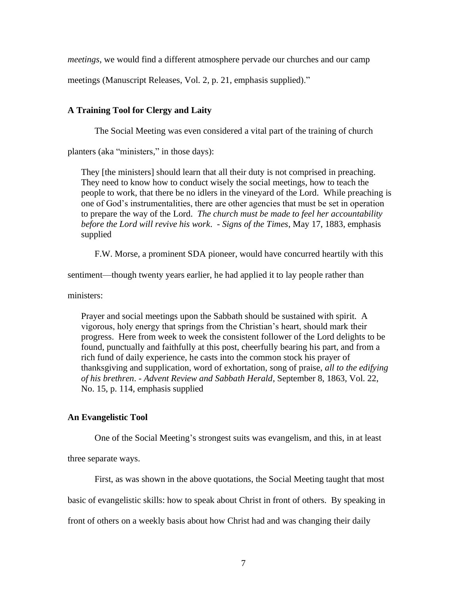*meetings*, we would find a different atmosphere pervade our churches and our camp

meetings (Manuscript Releases, Vol. 2, p. 21, emphasis supplied)."

# **A Training Tool for Clergy and Laity**

The Social Meeting was even considered a vital part of the training of church

planters (aka "ministers," in those days):

They [the ministers] should learn that all their duty is not comprised in preaching. They need to know how to conduct wisely the social meetings, how to teach the people to work, that there be no idlers in the vineyard of the Lord. While preaching is one of God's instrumentalities, there are other agencies that must be set in operation to prepare the way of the Lord. *The church must be made to feel her accountability before the Lord will revive his work*. - *Signs of the Times*, May 17, 1883, emphasis supplied

F.W. Morse, a prominent SDA pioneer, would have concurred heartily with this

sentiment—though twenty years earlier, he had applied it to lay people rather than

ministers:

Prayer and social meetings upon the Sabbath should be sustained with spirit. A vigorous, holy energy that springs from the Christian's heart, should mark their progress. Here from week to week the consistent follower of the Lord delights to be found, punctually and faithfully at this post, cheerfully bearing his part, and from a rich fund of daily experience, he casts into the common stock his prayer of thanksgiving and supplication, word of exhortation, song of praise, *all to the edifying of his brethren*. - *Advent Review and Sabbath Herald*, September 8, 1863, Vol. 22, No. 15, p. 114, emphasis supplied

# **An Evangelistic Tool**

One of the Social Meeting's strongest suits was evangelism, and this, in at least

three separate ways.

First, as was shown in the above quotations, the Social Meeting taught that most basic of evangelistic skills: how to speak about Christ in front of others. By speaking in front of others on a weekly basis about how Christ had and was changing their daily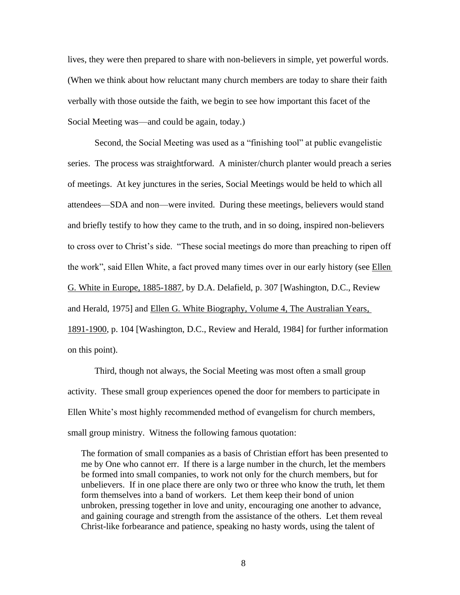lives, they were then prepared to share with non-believers in simple, yet powerful words. (When we think about how reluctant many church members are today to share their faith verbally with those outside the faith, we begin to see how important this facet of the Social Meeting was—and could be again, today.)

Second, the Social Meeting was used as a "finishing tool" at public evangelistic series. The process was straightforward. A minister/church planter would preach a series of meetings. At key junctures in the series, Social Meetings would be held to which all attendees—SDA and non—were invited. During these meetings, believers would stand and briefly testify to how they came to the truth, and in so doing, inspired non-believers to cross over to Christ's side. "These social meetings do more than preaching to ripen off the work", said Ellen White, a fact proved many times over in our early history (see Ellen G. White in Europe, 1885-1887, by D.A. Delafield, p. 307 [Washington, D.C., Review and Herald, 1975] and Ellen G. White Biography, Volume 4, The Australian Years, 1891-1900, p. 104 [Washington, D.C., Review and Herald, 1984] for further information on this point).

Third, though not always, the Social Meeting was most often a small group activity. These small group experiences opened the door for members to participate in Ellen White's most highly recommended method of evangelism for church members, small group ministry. Witness the following famous quotation:

The formation of small companies as a basis of Christian effort has been presented to me by One who cannot err. If there is a large number in the church, let the members be formed into small companies, to work not only for the church members, but for unbelievers. If in one place there are only two or three who know the truth, let them form themselves into a band of workers. Let them keep their bond of union unbroken, pressing together in love and unity, encouraging one another to advance, and gaining courage and strength from the assistance of the others. Let them reveal Christ-like forbearance and patience, speaking no hasty words, using the talent of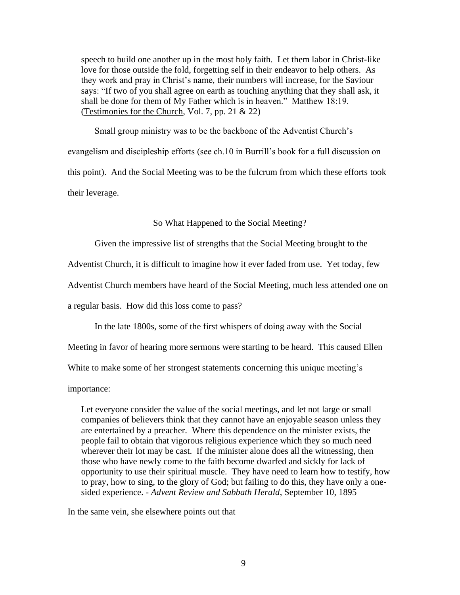speech to build one another up in the most holy faith. Let them labor in Christ-like love for those outside the fold, forgetting self in their endeavor to help others. As they work and pray in Christ's name, their numbers will increase, for the Saviour says: "If two of you shall agree on earth as touching anything that they shall ask, it shall be done for them of My Father which is in heaven." Matthew 18:19. (Testimonies for the Church, Vol. 7, pp. 21 & 22)

Small group ministry was to be the backbone of the Adventist Church's evangelism and discipleship efforts (see ch.10 in Burrill's book for a full discussion on this point). And the Social Meeting was to be the fulcrum from which these efforts took their leverage.

So What Happened to the Social Meeting?

Given the impressive list of strengths that the Social Meeting brought to the

Adventist Church, it is difficult to imagine how it ever faded from use. Yet today, few

Adventist Church members have heard of the Social Meeting, much less attended one on

a regular basis. How did this loss come to pass?

In the late 1800s, some of the first whispers of doing away with the Social

Meeting in favor of hearing more sermons were starting to be heard. This caused Ellen

White to make some of her strongest statements concerning this unique meeting's

importance:

Let everyone consider the value of the social meetings, and let not large or small companies of believers think that they cannot have an enjoyable season unless they are entertained by a preacher. Where this dependence on the minister exists, the people fail to obtain that vigorous religious experience which they so much need wherever their lot may be cast. If the minister alone does all the witnessing, then those who have newly come to the faith become dwarfed and sickly for lack of opportunity to use their spiritual muscle. They have need to learn how to testify, how to pray, how to sing, to the glory of God; but failing to do this, they have only a onesided experience. - *Advent Review and Sabbath Herald*, September 10, 1895

In the same vein, she elsewhere points out that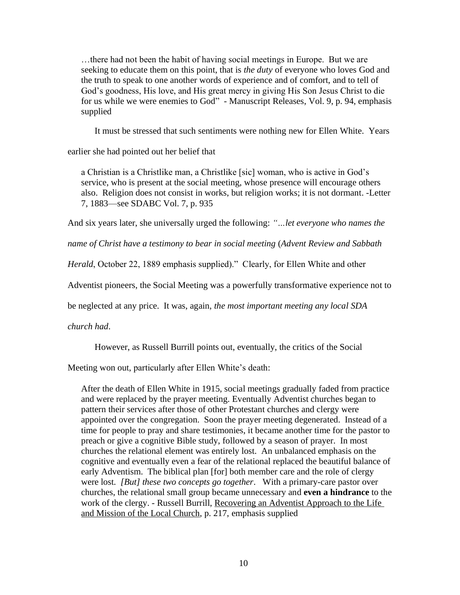…there had not been the habit of having social meetings in Europe. But we are seeking to educate them on this point, that is *the duty* of everyone who loves God and the truth to speak to one another words of experience and of comfort, and to tell of God's goodness, His love, and His great mercy in giving His Son Jesus Christ to die for us while we were enemies to God" - Manuscript Releases, Vol. 9, p. 94, emphasis supplied

It must be stressed that such sentiments were nothing new for Ellen White. Years

earlier she had pointed out her belief that

a Christian is a Christlike man, a Christlike [sic] woman, who is active in God's service, who is present at the social meeting, whose presence will encourage others also. Religion does not consist in works, but religion works; it is not dormant. -Letter 7, 1883—see SDABC Vol. 7, p. 935

And six years later, she universally urged the following: *"…let everyone who names the* 

*name of Christ have a testimony to bear in social meeting* (*Advent Review and Sabbath* 

*Herald*, October 22, 1889 emphasis supplied)." Clearly, for Ellen White and other

Adventist pioneers, the Social Meeting was a powerfully transformative experience not to

be neglected at any price. It was, again, *the most important meeting any local SDA* 

*church had*.

However, as Russell Burrill points out, eventually, the critics of the Social

Meeting won out, particularly after Ellen White's death:

After the death of Ellen White in 1915, social meetings gradually faded from practice and were replaced by the prayer meeting. Eventually Adventist churches began to pattern their services after those of other Protestant churches and clergy were appointed over the congregation. Soon the prayer meeting degenerated. Instead of a time for people to pray and share testimonies, it became another time for the pastor to preach or give a cognitive Bible study, followed by a season of prayer. In most churches the relational element was entirely lost. An unbalanced emphasis on the cognitive and eventually even a fear of the relational replaced the beautiful balance of early Adventism. The biblical plan [for] both member care and the role of clergy were lost. *[But] these two concepts go together*. With a primary-care pastor over churches, the relational small group became unnecessary and **even a hindrance** to the work of the clergy. - Russell Burrill, Recovering an Adventist Approach to the Life and Mission of the Local Church, p. 217, emphasis supplied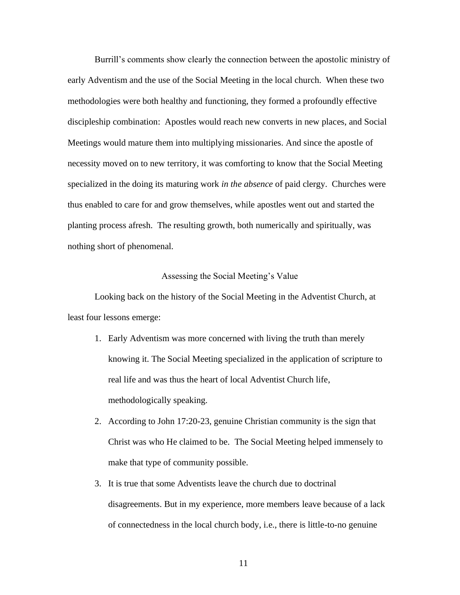Burrill's comments show clearly the connection between the apostolic ministry of early Adventism and the use of the Social Meeting in the local church. When these two methodologies were both healthy and functioning, they formed a profoundly effective discipleship combination: Apostles would reach new converts in new places, and Social Meetings would mature them into multiplying missionaries. And since the apostle of necessity moved on to new territory, it was comforting to know that the Social Meeting specialized in the doing its maturing work *in the absence* of paid clergy. Churches were thus enabled to care for and grow themselves, while apostles went out and started the planting process afresh. The resulting growth, both numerically and spiritually, was nothing short of phenomenal.

### Assessing the Social Meeting's Value

Looking back on the history of the Social Meeting in the Adventist Church, at least four lessons emerge:

- 1. Early Adventism was more concerned with living the truth than merely knowing it. The Social Meeting specialized in the application of scripture to real life and was thus the heart of local Adventist Church life, methodologically speaking.
- 2. According to John 17:20-23, genuine Christian community is the sign that Christ was who He claimed to be. The Social Meeting helped immensely to make that type of community possible.
- 3. It is true that some Adventists leave the church due to doctrinal disagreements. But in my experience, more members leave because of a lack of connectedness in the local church body, i.e., there is little-to-no genuine

11